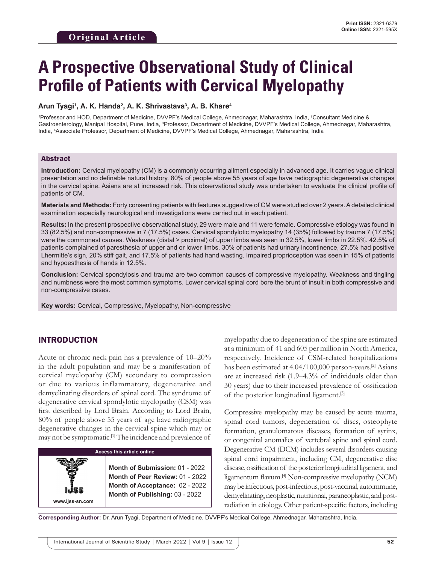# **A Prospective Observational Study of Clinical Profile of Patients with Cervical Myelopathy**

#### Arun Tyagi<sup>ı</sup>, A. K. Handa<sup>2</sup>, A. K. Shrivastava<sup>3</sup>, A. B. Khare<sup>4</sup>

1 Professor and HOD, Department of Medicine, DVVPF's Medical College, Ahmednagar, Maharashtra, India, 2 Consultant Medicine & Gastroenterology, Manipal Hospital, Pune, India, <sup>3</sup>Professor, Department of Medicine, DVVPF's Medical College, Ahmednagar, Maharashtra, India, 4 Associate Professor, Department of Medicine, DVVPF's Medical College, Ahmednagar, Maharashtra, India

#### Abstract

**Introduction:** Cervical myelopathy (CM) is a commonly occurring ailment especially in advanced age. It carries vague clinical presentation and no definable natural history. 80% of people above 55 years of age have radiographic degenerative changes in the cervical spine. Asians are at increased risk. This observational study was undertaken to evaluate the clinical profile of patients of CM.

**Materials and Methods:** Forty consenting patients with features suggestive of CM were studied over 2 years. Adetailed clinical examination especially neurological and investigations were carried out in each patient.

**Results:** In the present prospective observational study, 29 were male and 11 were female. Compressive etiology was found in 33 (82.5%) and non-compressive in 7 (17.5%) cases. Cervical spondylotic myelopathy 14 (35%) followed by trauma 7 (17.5%) were the commonest causes. Weakness (distal > proximal) of upper limbs was seen in 32.5%, lower limbs in 22.5%. 42.5% of patients complained of paresthesia of upper and or lower limbs. 30% of patients had urinary incontinence, 27.5% had positive Lhermitte's sign, 20% stiff gait, and 17.5% of patients had hand wasting. Impaired proprioception was seen in 15% of patients and hypoesthesia of hands in 12.5%.

**Conclusion:** Cervical spondylosis and trauma are two common causes of compressive myelopathy. Weakness and tingling and numbness were the most common symptoms. Lower cervical spinal cord bore the brunt of insult in both compressive and non-compressive cases.

**Key words:** Cervical, Compressive, Myelopathy, Non-compressive

# INTRODUCTION

Acute or chronic neck pain has a prevalence of 10–20% in the adult population and may be a manifestation of cervical myelopathy (CM) secondary to compression or due to various inflammatory, degenerative and demyelinating disorders of spinal cord. The syndrome of degenerative cervical spondylotic myelopathy (CSM) was first described by Lord Brain. According to Lord Brain, 80% of people above 55 years of age have radiographic degenerative changes in the cervical spine which may or may not be symptomatic.[1] The incidence and prevalence of



myelopathy due to degeneration of the spine are estimated at a minimum of 41 and 605 per million in North America, respectively. Incidence of CSM-related hospitalizations has been estimated at  $4.04/100,000$  person-years.<sup>[2]</sup> Asians are at increased risk (1.9–4.3% of individuals older than 30 years) due to their increased prevalence of ossification of the posterior longitudinal ligament.[3]

Compressive myelopathy may be caused by acute trauma, spinal cord tumors, degeneration of discs, osteophyte formation, granulomatous diseases, formation of syrinx, or congenital anomalies of vertebral spine and spinal cord. Degenerative CM (DCM) includes several disorders causing spinal cord impairment, including CM, degenerative disc disease, ossification of the posterior longitudinal ligament, and ligamentum flavum.[4] Non-compressive myelopathy (NCM) may be infectious, post-infectious, post-vaccinal, autoimmune, demyelinating, neoplastic, nutritional, paraneoplastic, and postradiation in etiology. Other patient-specific factors, including

**Corresponding Author:** Dr. Arun Tyagi, Department of Medicine, DVVPF's Medical College, Ahmednagar, Maharashtra, India.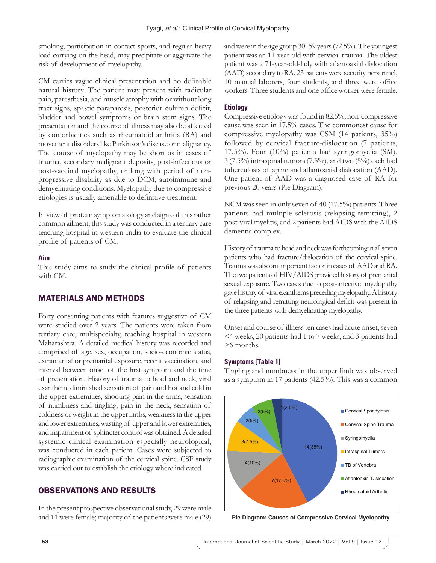smoking, participation in contact sports, and regular heavy load carrying on the head, may precipitate or aggravate the risk of development of myelopathy.

CM carries vague clinical presentation and no definable natural history. The patient may present with radicular pain, paresthesia, and muscle atrophy with or without long tract signs, spastic paraparesis, posterior column deficit, bladder and bowel symptoms or brain stem signs. The presentation and the course of illness may also be affected by comorbidities such as rheumatoid arthritis (RA) and movement disorders like Parkinson's disease or malignancy. The course of myelopathy may be short as in cases of trauma, secondary malignant deposits, post-infectious or post-vaccinal myelopathy, or long with period of nonprogressive disability as due to DCM, autoimmune and demyelinating conditions. Myelopathy due to compressive etiologies is usually amenable to definitive treatment.

In view of protean symptomatology and signs of this rather common ailment, this study was conducted in a tertiary care teaching hospital in western India to evaluate the clinical profile of patients of CM.

#### **Aim**

This study aims to study the clinical profile of patients with CM.

# MATERIALS AND METHODS

Forty consenting patients with features suggestive of CM were studied over 2 years. The patients were taken from tertiary care, multispecialty, teaching hospital in western Maharashtra. A detailed medical history was recorded and comprised of age, sex, occupation, socio-economic status, extramarital or premarital exposure, recent vaccination, and interval between onset of the first symptom and the time of presentation. History of trauma to head and neck, viral exanthem, diminished sensation of pain and hot and cold in the upper extremities, shooting pain in the arms, sensation of numbness and tingling, pain in the neck, sensation of coldness or weight in the upper limbs, weakness in the upper and lower extremities, wasting of upper and lower extremities, and impairment of sphincter control was obtained. A detailed systemic clinical examination especially neurological, was conducted in each patient. Cases were subjected to radiographic examination of the cervical spine. CSF study was carried out to establish the etiology where indicated.

# OBSERVATIONS AND RESULTS

In the present prospective observational study, 29 were male and 11 were female; majority of the patients were male (29) and were in the age group 30–59 years (72.5%). The youngest patient was an 11-year-old with cervical trauma. The oldest patient was a 71-year-old-lady with atlantoaxial dislocation (AAD) secondary to RA. 23 patients were security personnel, 10 manual laborers, four students, and three were office workers. Three students and one office worker were female.

#### **Etiology**

Compressive etiology was found in 82.5%; non-compressive cause was seen in 17.5% cases. The commonest cause for compressive myelopathy was CSM (14 patients, 35%) followed by cervical fracture-dislocation (7 patients, 17.5%). Four (10%) patients had syringomyelia (SM), 3 (7.5%) intraspinal tumors (7.5%), and two (5%) each had tuberculosis of spine and atlantoaxial dislocation (AAD). One patient of AAD was a diagnosed case of RA for previous 20 years (Pie Diagram).

NCM was seen in only seven of 40 (17.5%) patients. Three patients had multiple sclerosis (relapsing-remitting), 2 post-viral myelitis, and 2 patients had AIDS with the AIDS dementia complex.

History of trauma to head and neck was forthcoming in all seven patients who had fracture/dislocation of the cervical spine. Trauma was also an important factor in cases of AAD and RA. The two patients of HIV/AIDS provided history of premarital sexual exposure. Two cases due to post-infective myelopathy gave history of viral exanthems preceding myelopathy. Ahistory of relapsing and remitting neurological deficit was present in the three patients with demyelinating myelopathy.

Onset and course of illness ten cases had acute onset, seven <4 weeks, 20 patients had 1 to 7 weeks, and 3 patients had >6 months.

#### **Symptoms [Table 1]**

Tingling and numbness in the upper limb was observed as a symptom in 17 patients (42.5%). This was a common



**Pie Diagram: Causes of Compressive Cervical Myelopathy**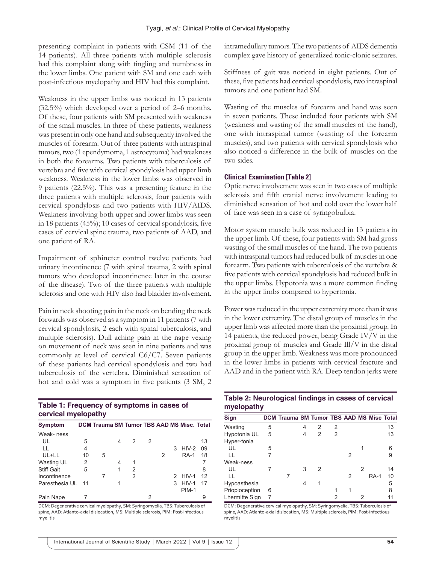presenting complaint in patients with CSM (11 of the 14 patients). All three patients with multiple sclerosis had this complaint along with tingling and numbness in the lower limbs. One patient with SM and one each with post-infectious myelopathy and HIV had this complaint.

Weakness in the upper limbs was noticed in 13 patients (32.5%) which developed over a period of 2–6 months. Of these, four patients with SM presented with weakness of the small muscles. In three of these patients, weakness was present in only one hand and subsequently involved the muscles of forearm. Out of three patients with intraspinal tumors, two (1 ependymoma, 1 astrocytoma) had weakness in both the forearms. Two patients with tuberculosis of vertebra and five with cervical spondylosis had upper limb weakness. Weakness in the lower limbs was observed in 9 patients (22.5%). This was a presenting feature in the three patients with multiple sclerosis, four patients with cervical spondylosis and two patients with HIV/AIDS. Weakness involving both upper and lower limbs was seen in 18 patients (45%); 10 cases of cervical spondylosis, five cases of cervical spine trauma, two patients of AAD, and one patient of RA.

Impairment of sphincter control twelve patients had urinary incontinence (7 with spinal trauma, 2 with spinal tumors who developed incontinence later in the course of the disease). Two of the three patients with multiple sclerosis and one with HIV also had bladder involvement.

Pain in neck shooting pain in the neck on bending the neck forwards was observed as a symptom in 11 patients (7 with cervical spondylosis, 2 each with spinal tuberculosis, and multiple sclerosis). Dull aching pain in the nape vexing on movement of neck was seen in nine patients and was commonly at level of cervical C6/C7. Seven patients of these patients had cervical spondylosis and two had tuberculosis of the vertebra. Diminished sensation of hot and cold was a symptom in five patients (3 SM, 2

| Table 1: Frequency of symptoms in cases of |
|--------------------------------------------|
| cervical myelopathy                        |

| <b>Symptom</b>    |      | DCM Trauma SM Tumor TBS AAD MS Misc. Total |   |   |   |   |              |    |
|-------------------|------|--------------------------------------------|---|---|---|---|--------------|----|
| Weak-ness         |      |                                            |   |   |   |   |              |    |
| UL                | 5    |                                            | 4 | 2 | 2 |   |              | 13 |
| $\mathbf{L}$      | 4    |                                            |   |   |   | 3 | $HIV-2$      | 09 |
| UL+LL             | 10   | 5                                          |   |   |   |   | <b>RA-1</b>  | 18 |
| Wasting UL        | 2    |                                            | 4 | 1 |   |   |              |    |
| <b>Stiff Gait</b> | 5    |                                            |   | 2 |   |   |              | 8  |
| Incontinence      |      |                                            |   | 2 |   |   | 2 HIV-1      | 12 |
| Paresthesia UL    | - 11 |                                            |   |   |   | 3 | $HIV-1$      | 17 |
|                   |      |                                            |   |   |   |   | <b>PIM-1</b> |    |
| Pain Nape         |      |                                            |   |   | 2 |   |              |    |

DCM: Degenerative cervical myelopathy, SM: Syringomyelia, TBS: Tuberculosis of spine, AAD: Atlanto-axial dislocation, MS: Multiple sclerosis, PIM: Post-infectious myelitis

intramedullary tumors. The two patients of AIDS dementia complex gave history of generalized tonic-clonic seizures.

Stiffness of gait was noticed in eight patients. Out of these, five patients had cervical spondylosis, two intraspinal tumors and one patient had SM.

Wasting of the muscles of forearm and hand was seen in seven patients. These included four patients with SM (weakness and wasting of the small muscles of the hand), one with intraspinal tumor (wasting of the forearm muscles), and two patients with cervical spondylosis who also noticed a difference in the bulk of muscles on the two sides.

#### **Clinical Examination [Table 2]**

Optic nerve involvement was seen in two cases of multiple sclerosis and fifth cranial nerve involvement leading to diminished sensation of hot and cold over the lower half of face was seen in a case of syringobulbia.

Motor system muscle bulk was reduced in 13 patients in the upper limb. Of these, four patients with SM had gross wasting of the small muscles of the hand. The two patients with intraspinal tumors had reduced bulk of muscles in one forearm. Two patients with tuberculosis of the vertebra & five patients with cervical spondylosis had reduced bulk in the upper limbs. Hypotonia was a more common finding in the upper limbs compared to hypertonia.

Power was reduced in the upper extremity more than it was in the lower extremity. The distal group of muscles in the upper limb was affected more than the proximal group. In 14 patients, the reduced power, being Grade IV/V in the proximal group of muscles and Grade Ill/V in the distal group in the upper limb. Weakness was more pronounced in the lower limbs in patients with cervical fracture and AAD and in the patient with RA. Deep tendon jerks were

| Table 2: Neurological findings in cases of cervical |  |  |  |
|-----------------------------------------------------|--|--|--|
| myelopathy                                          |  |  |  |

| Sign           |   | DCM Trauma SM Tumor TBS AAD MS Misc Total |   |               |   |   |   |             |    |
|----------------|---|-------------------------------------------|---|---------------|---|---|---|-------------|----|
| Wasting        | 5 |                                           | 4 | 2             | 2 |   |   |             | 13 |
| Hypotonia UL   | 5 |                                           |   | $\mathcal{P}$ | 2 |   |   |             | 13 |
| Hyper-tonia    |   |                                           |   |               |   |   |   |             |    |
| UL             | 5 |                                           |   |               |   |   |   |             | հ  |
| LL             |   |                                           |   |               |   | 2 |   |             |    |
| Weak-ness      |   |                                           |   |               |   |   |   |             |    |
| UL             |   |                                           | 3 | 2             |   |   | 2 |             | 14 |
| LL             |   |                                           |   |               |   | 2 |   | <b>RA-1</b> | 10 |
| Hypoasthesia   |   |                                           | 4 |               |   |   |   |             | 5  |
| Priopioception | 6 |                                           |   |               |   |   |   |             | 8  |
| Lhermitte Sign | 7 |                                           |   |               | 2 |   |   |             | 11 |

DCM: Degenerative cervical myelopathy, SM: Syringomyelia, TBS: Tuberculosis of spine, AAD: Atlanto-axial dislocation, MS: Multiple sclerosis, PIM: Post-infectious myelitis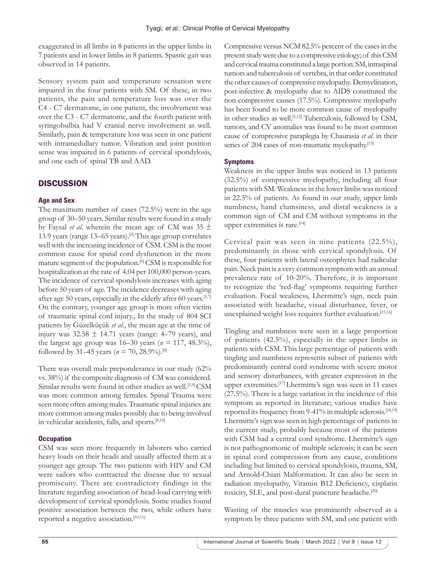exaggerated in all limbs in 8 patients in the upper limbs in 7 patients and in lower limbs in 8 patients. Spastic gait was observed in 14 patients.

Sensory system pain and temperature sensation were impaired in the four patients with SM. Of these, in two patients, the pain and temperature loss was over the C4 - C7 dermatome, in one patient, the involvement was over the C3 - C7 dermatome, and the fourth patient with syringobulbia had V cranial nerve involvement as well. Similarly, pain & temperature loss was seen in one patient with intramedullary tumor. Vibration and joint position sense was impaired in 6 patients of cervical spondylosis, and one each of spinal TB and AAD.

# **DISCUSSION**

# **Age and Sex**

The maximum number of cases (72.5%) were in the age group of 30–50 years. Similar results were found in a study by Faysal *et al*. wherein the mean age of CM was 35 ± 13.9 years (range 13–65 years).[5] This age group correlates well with the increasing incidence of CSM. CSM is the most common cause for spinal cord dysfunction in the more mature segment of the population.[6] CSM is responsible for hospitalization at the rate of 4.04 per 100,000 person-years. The incidence of cervical spondylosis increases with aging before 50 years of age. The incidence decreases with aging after age 50 years, especially in the elderly after 60 years.[5,7] On the contrary, younger age group is more often victim of traumatic spinal cord injury., In the study of 804 SCI patients by Güzelküçük *et al*., the mean age at the time of injury was  $32.58 \pm 14.71$  years (range: 4–79 years), and the largest age group was  $16-30$  years ( $n = 117, 48.3\%$ ), followed by 31–45 years ( $n = 70$ , 28.9%).<sup>[8]</sup>

There was overall male preponderance in our study (62% vs. 38%) if the composite diagnosis of CM was considered. Similar results were found in other studies as well.<sup>[5,9]</sup> CSM was more common among females. Spinal Trauma were seen more often among males. Traumatic spinal injuries are more common among males possibly due to being involved in vehicular accidents, falls, and sports.<sup>[8,10]</sup>

# **Occupation**

CSM was seen more frequently in laborers who carried heavy loads on their heads and usually affected them at a younger age group. The two patients with HIV and CM were sailors who contracted the disease due to sexual promiscuity. There are contradictory findings in the literature regarding association of head-load carrying with development of cervical spondylosis. Some studies found positive association between the two, while others have reported a negative association.[10,11]

Compressive versus NCM 82.5% percent of the cases in the present study were due to a compressive etiology; of this CSM and cervical trauma constituted a large portion. SM, intraspinal tumors and tuberculosis of vertebra, in that order constituted the other causes of compressive myelopathy. Demyelination, post-infective & myelopathy due to AIDS constituted the non-compressive causes (17.5%). Compressive myelopathy has been found to be more common cause of myelopathy in other studies as well.<sup>[5,12]</sup> Tuberculosis, followed by CSM, tumors, and CV anomalies was found to be most common cause of compressive paraplegia by Chaurasia *et al*. in their series of 204 cases of non-traumatic myelopathy.<sup>[13]</sup>

# **Symptoms**

Weakness in the upper limbs was noticed in 13 patients (32.5%) of compressive myelopathy, including all four patients with SM. Weakness in the lower limbs was noticed in 22.5% of patients. As found in our study, upper limb numbness, hand clumsiness, and distal weakness is a common sign of CM and CM without symptoms in the upper extremities is rare.<sup>[14]</sup>

Cervical pain was seen in nine patients (22.5%), predominantly in those with cervical spondylosis. Of these, four patients with lateral osteophytes had radicular pain. Neck pain is a very common symptom with an annual prevalence rate of 10-20%. Therefore, it is important to recognize the 'red-flag' symptoms requiring further evaluation. Focal weakness, Lhermitte's sign, neck pain associated with headache, visual disturbance, fever, or unexplained weight loss requires further evaluation.<sup>[15,16]</sup>

Tingling and numbness were seen in a large proportion of patients (42.5%), especially in the upper limbs in patients with CSM. This large percentage of patients with tingling and numbness represents subset of patients with predominantly central cord syndrome with severe motor and sensory disturbances, with greater expression in the upper extremities.[17] Lhermitte's sign was seen in 11 cases (27.5%). There is a large variation in the incidence of this symptom as reported in literature; various studies have reported its frequency from 9-41% in multiple sclerosis.[18,19] Lhermitte's sign was seen in high percentage of patients in the current study, probably because most of the patients with CSM had a central cord syndrome. Lhermitte's sign is not pathognomonic of multiple sclerosis; it can be seen in spinal cord compression from any cause, conditions including but limited to cervical spondylosis, trauma, SM, and Arnold-Chiari Malformation. It can also be seen in radiation myelopathy, Vitamin B12 Deficiency, cisplatin toxicity, SLE, and post-dural puncture headache.<sup>[20]</sup>

Wasting of the muscles was prominently observed as a symptom by three patients with SM, and one patient with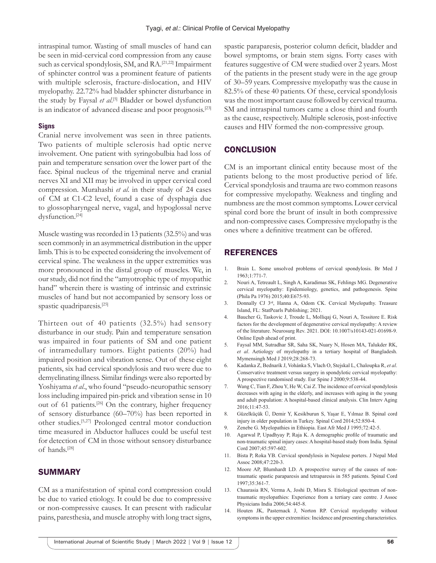intraspinal tumor. Wasting of small muscles of hand can be seen in mid-cervical cord compression from any cause such as cervical spondylosis, SM, and RA.<sup>[21,22]</sup> Impairment of sphincter control was a prominent feature of patients with multiple sclerosis, fracture-dislocation, and HIV myelopathy. 22.72% had bladder sphincter disturbance in the study by Faysal et al.<sup>[5]</sup> Bladder or bowel dysfunction is an indicator of advanced disease and poor prognosis.[23]

#### **Signs**

Cranial nerve involvement was seen in three patients. Two patients of multiple sclerosis had optic nerve involvement. One patient with syringobulbia had loss of pain and temperature sensation over the lower part of the face. Spinal nucleus of the trigeminal nerve and cranial nerves XI and XII may be involved in upper cervical cord compression. Murahashi *et al*. in their study of 24 cases of CM at C1-C2 level, found a case of dysphagia due to glossopharyngeal nerve, vagal, and hypoglossal nerve dysfunction.[24]

Muscle wasting was recorded in 13 patients (32.5%) and was seen commonly in an asymmetrical distribution in the upper limb. This is to be expected considering the involvement of cervical spine. The weakness in the upper extremities was more pronounced in the distal group of muscles. We, in our study, did not find the "amyotrophic type of myopathic hand" wherein there is wasting of intrinsic and extrinsic muscles of hand but not accompanied by sensory loss or spastic quadriparesis.[25]

Thirteen out of 40 patients (32.5%) had sensory disturbance in our study. Pain and temperature sensation was impaired in four patients of SM and one patient of intramedullary tumors. Eight patients (20%) had impaired position and vibration sense. Out of these eight patients, six had cervical spondylosis and two were due to demyelinating illness. Similar findings were also reported by Yoshiyama *et al*., who found "pseudo-neuropathic sensory loss including impaired pin-prick and vibration sense in 10 out of 61 patients.[26] On the contrary, higher frequency of sensory disturbance (60–70%) has been reported in other studies.[5,27] Prolonged central motor conduction time measured in Abductor halluces could be useful test for detection of CM in those without sensory disturbance of hands.[28]

#### SUMMARY

CM as a manifestation of spinal cord compression could be due to varied etiology. It could be due to compressive or non-compressive causes. It can present with radicular pains, paresthesia, and muscle atrophy with long tract signs, spastic paraparesis, posterior column deficit, bladder and bowel symptoms, or brain stem signs. Forty cases with features suggestive of CM were studied over 2 years. Most of the patients in the present study were in the age group of 30–59 years. Compressive myelopathy was the cause in 82.5% of these 40 patients. Of these, cervical spondylosis was the most important cause followed by cervical trauma. SM and intraspinal tumors came a close third and fourth as the cause, respectively. Multiple sclerosis, post-infective causes and HIV formed the non-compressive group.

# **CONCLUSION**

CM is an important clinical entity because most of the patients belong to the most productive period of life. Cervical spondylosis and trauma are two common reasons for compressive myelopathy. Weakness and tingling and numbness are the most common symptoms. Lower cervical spinal cord bore the brunt of insult in both compressive and non-compressive cases. Compressive myelopathy is the ones where a definitive treatment can be offered.

# **REFERENCES**

- 1. Brain L. Some unsolved problems of cervical spondylosis. Br Med J 1963;1:771-7.
- 2. Nouri A, Tetreault L, Singh A, Karadimas SK, Fehlings MG. Degenerative cervical myelopathy: Epidemiology, genetics, and pathogenesis. Spine (Phila Pa 1976) 2015;40:E675-93.
- 3. Donnally CJ 3rd, Hanna A, Odom CK. Cervical Myelopathy. Treasure Island, FL: StatPearls Publishing; 2021.
- 4. Baucher G, Taskovic J, Troude L, Molliqaj G, Nouri A, Tessitore E. Risk factors for the development of degenerative cervical myelopathy: A review of the literature. Neurosurg Rev. 2021. DOI: 10.1007/s10143-021-01698-9. Online Epub ahead of print.
- 5. Faysal MM, Sutradhar SR, Saha SK, Nuary N, Hosen MA, Talukder RK, *et al*. Aetiology of myelopathy in a tertiary hospital of Bangladesh. Mymensingh Med J 2019;28:268-73.
- 6. Kadanka Z, Bednarík J, Vohánka S, Vlach O, Stejskal L, Chaloupka R, *et al*. Conservative treatment versus surgery in spondylotic cervical myelopathy: A prospective randomised study. Eur Spine J 2000;9:538-44.
- 7. Wang C, Tian F, Zhou Y, He W, Cai Z. The incidence of cervical spondylosis decreases with aging in the elderly, and increases with aging in the young and adult population: A hospital-based clinical analysis. Clin Interv Aging 2016;11:47-53.
- 8. Güzelküçük Ü, Demir Y, Kesikburun S, Yaşar E, Yılmaz B. Spinal cord injury in older population in Turkey. Spinal Cord 2014;52:850-4.
- 9. Zenebe G. Myelopathies in Ethiopia. East Afr Med J 1995;72:42-5.
- 10. Agarwal P, Upadhyay P, Raja K. A demographic profile of traumatic and non-traumatic spinal injury cases: A hospital-based study from India. Spinal Cord 2007;45:597-602.
- 11. Bista P, Roka YB. Cervical spondylosis in Nepalese porters. J Nepal Med Assoc 2008;47:220-3.
- 12. Moore AP, Blumhardt LD. A prospective survey of the causes of nontraumatic spastic paraparesis and tetraparesis in 585 patients. Spinal Cord 1997;35:361-7.
- 13. Chaurasia RN, Verma A, Joshi D, Misra S. Etiological spectrum of nontraumatic myelopathies: Experience from a tertiary care centre. J Assoc Physicians India 2006;54:445-8.
- 14. Houten JK, Pasternack J, Norton RP. Cervical myelopathy without symptoms in the upper extremities: Incidence and presenting characteristics.